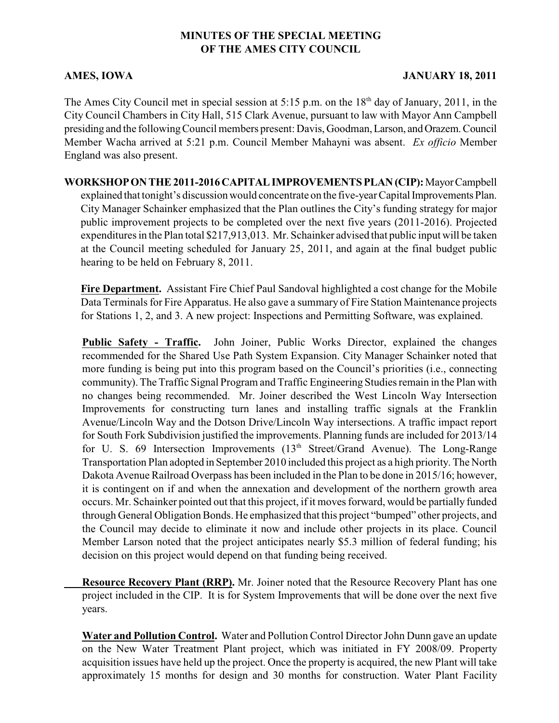## **MINUTES OF THE SPECIAL MEETING OF THE AMES CITY COUNCIL**

## **AMES, IOWA JANUARY 18, 2011**

The Ames City Council met in special session at 5:15 p.m. on the  $18<sup>th</sup>$  day of January, 2011, in the City Council Chambers in City Hall, 515 Clark Avenue, pursuant to law with Mayor Ann Campbell presiding and the following Council members present: Davis, Goodman, Larson, and Orazem. Council Member Wacha arrived at 5:21 p.m. Council Member Mahayni was absent. *Ex officio* Member England was also present.

**WORKSHOP ON THE 2011-2016 CAPITAL IMPROVEMENTS PLAN (CIP):** Mayor Campbell explained that tonight's discussion would concentrate on the five-year Capital Improvements Plan. City Manager Schainker emphasized that the Plan outlines the City's funding strategy for major public improvement projects to be completed over the next five years (2011-2016). Projected expenditures in the Plan total \$217,913,013. Mr. Schainker advised that public input will be taken at the Council meeting scheduled for January 25, 2011, and again at the final budget public hearing to be held on February 8, 2011.

**Fire Department.** Assistant Fire Chief Paul Sandoval highlighted a cost change for the Mobile Data Terminals for Fire Apparatus. He also gave a summary of Fire Station Maintenance projects for Stations 1, 2, and 3. A new project: Inspections and Permitting Software, was explained.

**Public Safety - Traffic.** John Joiner, Public Works Director, explained the changes recommended for the Shared Use Path System Expansion. City Manager Schainker noted that more funding is being put into this program based on the Council's priorities (i.e., connecting community). The Traffic Signal Program and Traffic Engineering Studies remain in the Plan with no changes being recommended. Mr. Joiner described the West Lincoln Way Intersection Improvements for constructing turn lanes and installing traffic signals at the Franklin Avenue/Lincoln Way and the Dotson Drive/Lincoln Way intersections. A traffic impact report for South Fork Subdivision justified the improvements. Planning funds are included for 2013/14 for U. S. 69 Intersection Improvements  $(13<sup>th</sup> Street/Grand$  Avenue). The Long-Range Transportation Plan adopted in September 2010 included this project as a high priority. The North Dakota Avenue Railroad Overpass has been included in the Plan to be done in 2015/16; however, it is contingent on if and when the annexation and development of the northern growth area occurs. Mr. Schainker pointed out that this project, if it moves forward, would be partially funded through General Obligation Bonds. He emphasized that this project "bumped" other projects, and the Council may decide to eliminate it now and include other projects in its place. Council Member Larson noted that the project anticipates nearly \$5.3 million of federal funding; his decision on this project would depend on that funding being received.

**Resource Recovery Plant (RRP).** Mr. Joiner noted that the Resource Recovery Plant has one project included in the CIP. It is for System Improvements that will be done over the next five years.

**Water and Pollution Control.** Water and Pollution Control Director John Dunn gave an update on the New Water Treatment Plant project, which was initiated in FY 2008/09. Property acquisition issues have held up the project. Once the property is acquired, the new Plant will take approximately 15 months for design and 30 months for construction. Water Plant Facility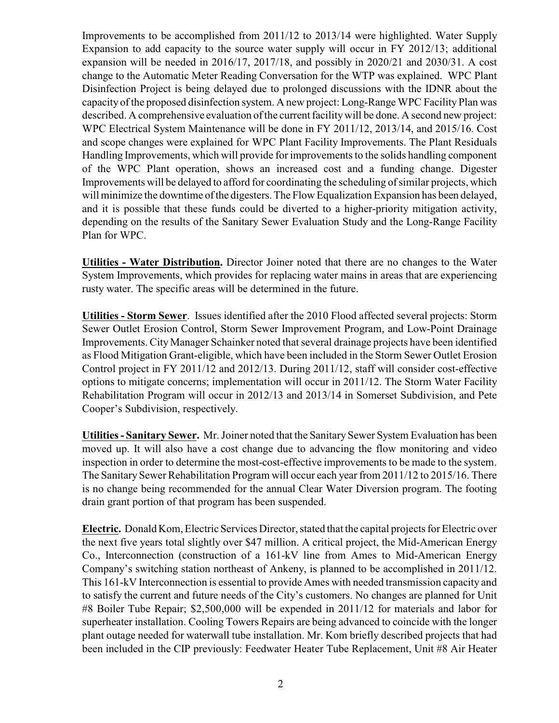Improvements to be accomplished from 2011/12 to 2013/14 were highlighted. Water Supply Expansion to add capacity to the source water supply will occur in FY 2012/13; additional expansion will be needed in 2016/17, 2017/18, and possibly in 2020/21 and 2030/31. A cost change to the Automatic Meter Reading Conversation for the WTP was explained. WPC Plant Disinfection Project is being delayed due to prolonged discussions with the IDNR about the capacity of the proposed disinfection system. A new project: Long-Range WPC Facility Plan was described. A comprehensive evaluation of the current facility will be done. A second new project: WPC Electrical System Maintenance will be done in FY 2011/12, 2013/14, and 2015/16. Cost and scope changes were explained for WPC Plant Facility Improvements. The Plant Residuals Handling Improvements, which will provide for improvements to the solids handling component of the WPC Plant operation, shows an increased cost and a funding change. Digester Improvements will be delayed to afford for coordinating the scheduling of similar projects, which will minimize the downtime of the digesters. The Flow Equalization Expansion has been delayed, and it is possible that these funds could be diverted to a higher-priority mitigation activity, depending on the results of the Sanitary Sewer Evaluation Study and the Long-Range Facility Plan for WPC.

**Utilities - Water Distribution.** Director Joiner noted that there are no changes to the Water System Improvements, which provides for replacing water mains in areas that are experiencing rusty water. The specific areas will be determined in the future.

**Utilities - Storm Sewer**. Issues identified after the 2010 Flood affected several projects: Storm Sewer Outlet Erosion Control, Storm Sewer Improvement Program, and Low-Point Drainage Improvements. CityManager Schainker noted that several drainage projects have been identified as Flood Mitigation Grant-eligible, which have been included in the Storm Sewer Outlet Erosion Control project in FY 2011/12 and 2012/13. During 2011/12, staff will consider cost-effective options to mitigate concerns; implementation will occur in 2011/12. The Storm Water Facility Rehabilitation Program will occur in 2012/13 and 2013/14 in Somerset Subdivision, and Pete Cooper's Subdivision, respectively.

**Utilities - Sanitary Sewer.** Mr. Joiner noted that the Sanitary Sewer System Evaluation has been moved up. It will also have a cost change due to advancing the flow monitoring and video inspection in order to determine the most-cost-effective improvements to be made to the system. The Sanitary Sewer Rehabilitation Program will occur each year from 2011/12 to 2015/16. There is no change being recommended for the annual Clear Water Diversion program. The footing drain grant portion of that program has been suspended.

**Electric.** Donald Kom, Electric Services Director, stated that the capital projects for Electric over the next five years total slightly over \$47 million. A critical project, the Mid-American Energy Co., Interconnection (construction of a 161-kV line from Ames to Mid-American Energy Company's switching station northeast of Ankeny, is planned to be accomplished in 2011/12. This 161-kV Interconnection is essential to provide Ames with needed transmission capacity and to satisfy the current and future needs of the City's customers. No changes are planned for Unit #8 Boiler Tube Repair; \$2,500,000 will be expended in 2011/12 for materials and labor for superheater installation. Cooling Towers Repairs are being advanced to coincide with the longer plant outage needed for waterwall tube installation. Mr. Kom briefly described projects that had been included in the CIP previously: Feedwater Heater Tube Replacement, Unit #8 Air Heater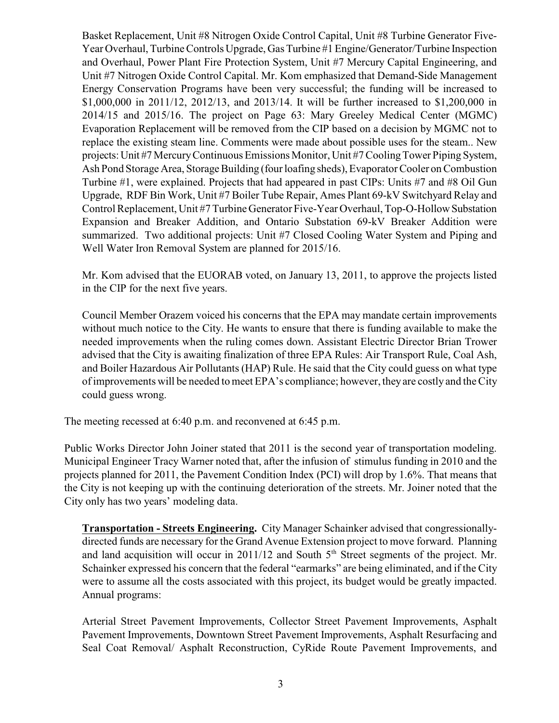Basket Replacement, Unit #8 Nitrogen Oxide Control Capital, Unit #8 Turbine Generator Five-Year Overhaul, Turbine Controls Upgrade, Gas Turbine #1 Engine/Generator/Turbine Inspection and Overhaul, Power Plant Fire Protection System, Unit #7 Mercury Capital Engineering, and Unit #7 Nitrogen Oxide Control Capital. Mr. Kom emphasized that Demand-Side Management Energy Conservation Programs have been very successful; the funding will be increased to \$1,000,000 in 2011/12, 2012/13, and 2013/14. It will be further increased to \$1,200,000 in 2014/15 and 2015/16. The project on Page 63: Mary Greeley Medical Center (MGMC) Evaporation Replacement will be removed from the CIP based on a decision by MGMC not to replace the existing steam line. Comments were made about possible uses for the steam.. New projects: Unit #7 Mercury Continuous Emissions Monitor, Unit #7 Cooling Tower Piping System, Ash Pond Storage Area, Storage Building (four loafing sheds), Evaporator Cooler on Combustion Turbine #1, were explained. Projects that had appeared in past CIPs: Units #7 and #8 Oil Gun Upgrade, RDF Bin Work, Unit #7 Boiler Tube Repair, Ames Plant 69-kV Switchyard Relay and Control Replacement, Unit #7 Turbine Generator Five-Year Overhaul, Top-O-Hollow Substation Expansion and Breaker Addition, and Ontario Substation 69-kV Breaker Addition were summarized. Two additional projects: Unit #7 Closed Cooling Water System and Piping and Well Water Iron Removal System are planned for 2015/16.

Mr. Kom advised that the EUORAB voted, on January 13, 2011, to approve the projects listed in the CIP for the next five years.

Council Member Orazem voiced his concerns that the EPA may mandate certain improvements without much notice to the City. He wants to ensure that there is funding available to make the needed improvements when the ruling comes down. Assistant Electric Director Brian Trower advised that the City is awaiting finalization of three EPA Rules: Air Transport Rule, Coal Ash, and Boiler Hazardous Air Pollutants (HAP) Rule. He said that the City could guess on what type of improvements will be needed tomeet EPA's compliance; however, they are costly and the City could guess wrong.

The meeting recessed at 6:40 p.m. and reconvened at 6:45 p.m.

Public Works Director John Joiner stated that 2011 is the second year of transportation modeling. Municipal Engineer Tracy Warner noted that, after the infusion of stimulus funding in 2010 and the projects planned for 2011, the Pavement Condition Index (PCI) will drop by 1.6%. That means that the City is not keeping up with the continuing deterioration of the streets. Mr. Joiner noted that the City only has two years' modeling data.

**Transportation - Streets Engineering.** City Manager Schainker advised that congressionallydirected funds are necessary for the Grand Avenue Extension project to move forward. Planning and land acquisition will occur in 2011/12 and South  $5<sup>th</sup>$  Street segments of the project. Mr. Schainker expressed his concern that the federal "earmarks" are being eliminated, and if the City were to assume all the costs associated with this project, its budget would be greatly impacted. Annual programs:

Arterial Street Pavement Improvements, Collector Street Pavement Improvements, Asphalt Pavement Improvements, Downtown Street Pavement Improvements, Asphalt Resurfacing and Seal Coat Removal/ Asphalt Reconstruction, CyRide Route Pavement Improvements, and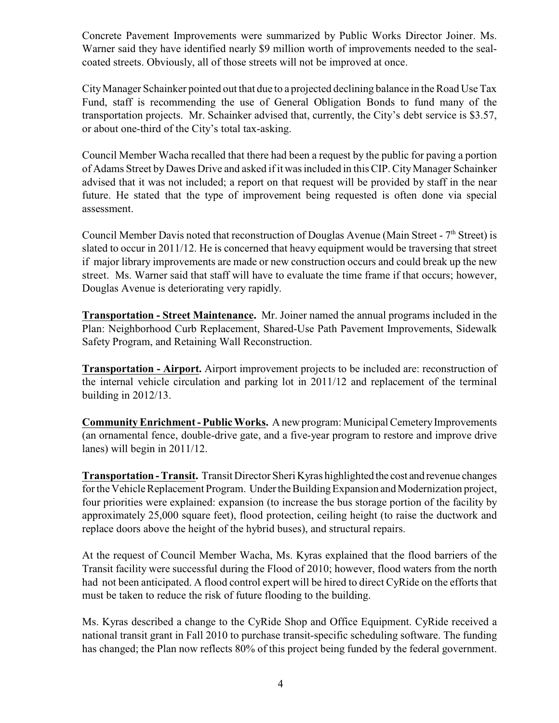Concrete Pavement Improvements were summarized by Public Works Director Joiner. Ms. Warner said they have identified nearly \$9 million worth of improvements needed to the sealcoated streets. Obviously, all of those streets will not be improved at once.

City Manager Schainker pointed out that due to a projected declining balance in the Road Use Tax Fund, staff is recommending the use of General Obligation Bonds to fund many of the transportation projects. Mr. Schainker advised that, currently, the City's debt service is \$3.57, or about one-third of the City's total tax-asking.

Council Member Wacha recalled that there had been a request by the public for paving a portion of Adams Street by Dawes Drive and asked if it was included in this CIP. CityManager Schainker advised that it was not included; a report on that request will be provided by staff in the near future. He stated that the type of improvement being requested is often done via special assessment.

Council Member Davis noted that reconstruction of Douglas Avenue (Main Street -  $7<sup>th</sup>$  Street) is slated to occur in 2011/12. He is concerned that heavy equipment would be traversing that street if major library improvements are made or new construction occurs and could break up the new street. Ms. Warner said that staff will have to evaluate the time frame if that occurs; however, Douglas Avenue is deteriorating very rapidly.

**Transportation - Street Maintenance.** Mr. Joiner named the annual programs included in the Plan: Neighborhood Curb Replacement, Shared-Use Path Pavement Improvements, Sidewalk Safety Program, and Retaining Wall Reconstruction.

**Transportation - Airport.** Airport improvement projects to be included are: reconstruction of the internal vehicle circulation and parking lot in 2011/12 and replacement of the terminal building in 2012/13.

**Community Enrichment - Public Works.** A new program: Municipal Cemetery Improvements (an ornamental fence, double-drive gate, and a five-year program to restore and improve drive lanes) will begin in 2011/12.

**Transportation - Transit.** Transit Director Sheri Kyras highlighted the cost and revenue changes for the Vehicle Replacement Program. Under the Building Expansion and Modernization project, four priorities were explained: expansion (to increase the bus storage portion of the facility by approximately 25,000 square feet), flood protection, ceiling height (to raise the ductwork and replace doors above the height of the hybrid buses), and structural repairs.

At the request of Council Member Wacha, Ms. Kyras explained that the flood barriers of the Transit facility were successful during the Flood of 2010; however, flood waters from the north had not been anticipated. A flood control expert will be hired to direct CyRide on the efforts that must be taken to reduce the risk of future flooding to the building.

Ms. Kyras described a change to the CyRide Shop and Office Equipment. CyRide received a national transit grant in Fall 2010 to purchase transit-specific scheduling software. The funding has changed; the Plan now reflects 80% of this project being funded by the federal government.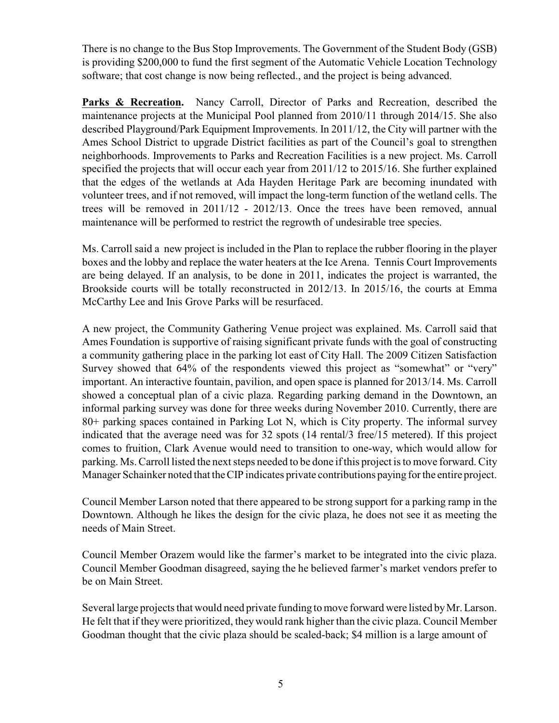There is no change to the Bus Stop Improvements. The Government of the Student Body (GSB) is providing \$200,000 to fund the first segment of the Automatic Vehicle Location Technology software; that cost change is now being reflected., and the project is being advanced.

Parks & Recreation. Nancy Carroll, Director of Parks and Recreation, described the maintenance projects at the Municipal Pool planned from 2010/11 through 2014/15. She also described Playground/Park Equipment Improvements. In 2011/12, the City will partner with the Ames School District to upgrade District facilities as part of the Council's goal to strengthen neighborhoods. Improvements to Parks and Recreation Facilities is a new project. Ms. Carroll specified the projects that will occur each year from 2011/12 to 2015/16. She further explained that the edges of the wetlands at Ada Hayden Heritage Park are becoming inundated with volunteer trees, and if not removed, will impact the long-term function of the wetland cells. The trees will be removed in 2011/12 - 2012/13. Once the trees have been removed, annual maintenance will be performed to restrict the regrowth of undesirable tree species.

Ms. Carroll said a new project is included in the Plan to replace the rubber flooring in the player boxes and the lobby and replace the water heaters at the Ice Arena. Tennis Court Improvements are being delayed. If an analysis, to be done in 2011, indicates the project is warranted, the Brookside courts will be totally reconstructed in 2012/13. In 2015/16, the courts at Emma McCarthy Lee and Inis Grove Parks will be resurfaced.

A new project, the Community Gathering Venue project was explained. Ms. Carroll said that Ames Foundation is supportive of raising significant private funds with the goal of constructing a community gathering place in the parking lot east of City Hall. The 2009 Citizen Satisfaction Survey showed that 64% of the respondents viewed this project as "somewhat" or "very" important. An interactive fountain, pavilion, and open space is planned for 2013/14. Ms. Carroll showed a conceptual plan of a civic plaza. Regarding parking demand in the Downtown, an informal parking survey was done for three weeks during November 2010. Currently, there are 80+ parking spaces contained in Parking Lot N, which is City property. The informal survey indicated that the average need was for 32 spots (14 rental/3 free/15 metered). If this project comes to fruition, Clark Avenue would need to transition to one-way, which would allow for parking. Ms. Carroll listed the next steps needed to be done ifthis project is to move forward. City Manager Schainker noted that the CIP indicates private contributions paying for the entire project.

Council Member Larson noted that there appeared to be strong support for a parking ramp in the Downtown. Although he likes the design for the civic plaza, he does not see it as meeting the needs of Main Street.

Council Member Orazem would like the farmer's market to be integrated into the civic plaza. Council Member Goodman disagreed, saying the he believed farmer's market vendors prefer to be on Main Street.

Several large projects that would need private funding to move forward were listed by Mr. Larson. He felt that if they were prioritized, they would rank higher than the civic plaza. Council Member Goodman thought that the civic plaza should be scaled-back; \$4 million is a large amount of